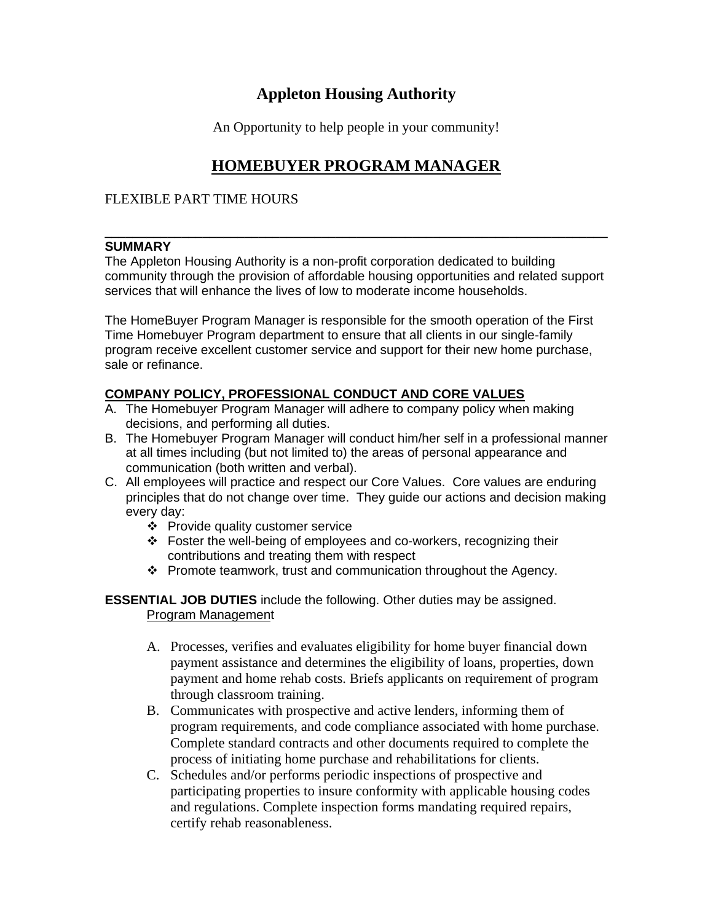# **Appleton Housing Authority**

An Opportunity to help people in your community!

# **HOMEBUYER PROGRAM MANAGER**

# FLEXIBLE PART TIME HOURS

#### **\_\_\_\_\_\_\_\_\_\_\_\_\_\_\_\_\_\_\_\_\_\_\_\_\_\_\_\_\_\_\_\_\_\_\_\_\_\_\_\_\_\_\_\_\_\_\_\_\_\_\_\_\_\_\_\_\_\_\_\_\_\_\_\_\_\_\_\_\_\_\_\_ SUMMARY**

The Appleton Housing Authority is a non-profit corporation dedicated to building community through the provision of affordable housing opportunities and related support services that will enhance the lives of low to moderate income households.

The HomeBuyer Program Manager is responsible for the smooth operation of the First Time Homebuyer Program department to ensure that all clients in our single-family program receive excellent customer service and support for their new home purchase, sale or refinance.

# **COMPANY POLICY, PROFESSIONAL CONDUCT AND CORE VALUES**

- A. The Homebuyer Program Manager will adhere to company policy when making decisions, and performing all duties.
- B. The Homebuyer Program Manager will conduct him/her self in a professional manner at all times including (but not limited to) the areas of personal appearance and communication (both written and verbal).
- C. All employees will practice and respect our Core Values. Core values are enduring principles that do not change over time. They guide our actions and decision making every day:
	- ❖ Provide quality customer service
	- ❖ Foster the well-being of employees and co-workers, recognizing their contributions and treating them with respect
	- ❖ Promote teamwork, trust and communication throughout the Agency.

**ESSENTIAL JOB DUTIES** include the following. Other duties may be assigned. Program Management

- A. Processes, verifies and evaluates eligibility for home buyer financial down payment assistance and determines the eligibility of loans, properties, down payment and home rehab costs. Briefs applicants on requirement of program through classroom training.
- B. Communicates with prospective and active lenders, informing them of program requirements, and code compliance associated with home purchase. Complete standard contracts and other documents required to complete the process of initiating home purchase and rehabilitations for clients.
- C. Schedules and/or performs periodic inspections of prospective and participating properties to insure conformity with applicable housing codes and regulations. Complete inspection forms mandating required repairs, certify rehab reasonableness.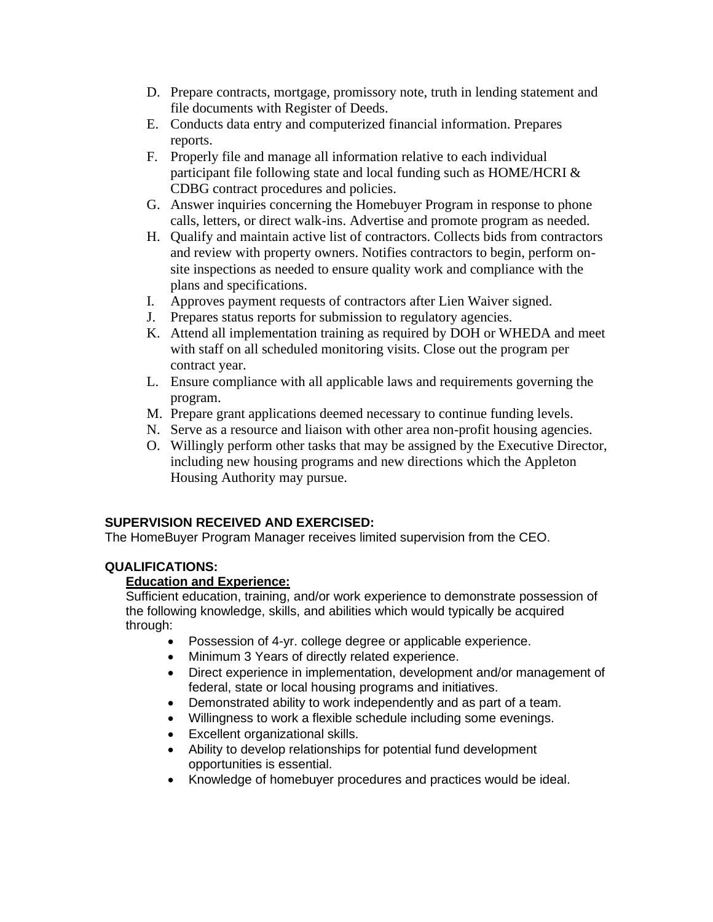- D. Prepare contracts, mortgage, promissory note, truth in lending statement and file documents with Register of Deeds.
- E. Conducts data entry and computerized financial information. Prepares reports.
- F. Properly file and manage all information relative to each individual participant file following state and local funding such as HOME/HCRI & CDBG contract procedures and policies.
- G. Answer inquiries concerning the Homebuyer Program in response to phone calls, letters, or direct walk-ins. Advertise and promote program as needed.
- H. Qualify and maintain active list of contractors. Collects bids from contractors and review with property owners. Notifies contractors to begin, perform onsite inspections as needed to ensure quality work and compliance with the plans and specifications.
- I. Approves payment requests of contractors after Lien Waiver signed.
- J. Prepares status reports for submission to regulatory agencies.
- K. Attend all implementation training as required by DOH or WHEDA and meet with staff on all scheduled monitoring visits. Close out the program per contract year.
- L. Ensure compliance with all applicable laws and requirements governing the program.
- M. Prepare grant applications deemed necessary to continue funding levels.
- N. Serve as a resource and liaison with other area non-profit housing agencies.
- O. Willingly perform other tasks that may be assigned by the Executive Director, including new housing programs and new directions which the Appleton Housing Authority may pursue.

# **SUPERVISION RECEIVED AND EXERCISED:**

The HomeBuyer Program Manager receives limited supervision from the CEO.

# **QUALIFICATIONS:**

# **Education and Experience:**

Sufficient education, training, and/or work experience to demonstrate possession of the following knowledge, skills, and abilities which would typically be acquired through:

- Possession of 4-yr. college degree or applicable experience.
- Minimum 3 Years of directly related experience.
- Direct experience in implementation, development and/or management of federal, state or local housing programs and initiatives.
- Demonstrated ability to work independently and as part of a team.
- Willingness to work a flexible schedule including some evenings.
- Excellent organizational skills.
- Ability to develop relationships for potential fund development opportunities is essential.
- Knowledge of homebuyer procedures and practices would be ideal.